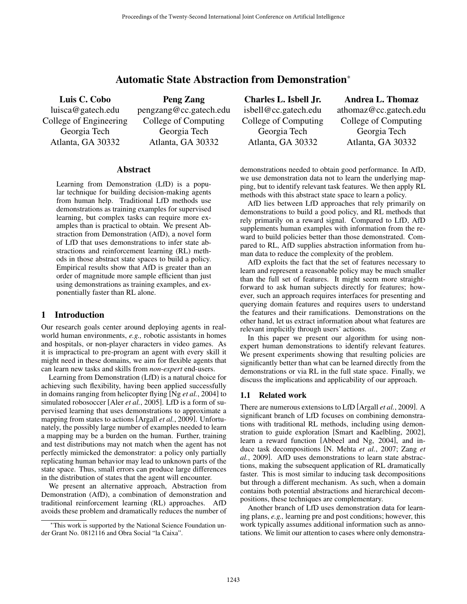# Automatic State Abstraction from Demonstration<sup>∗</sup>

Luis C. Cobo luisca@gatech.edu College of Engineering Georgia Tech Atlanta, GA 30332

Peng Zang pengzang@cc.gatech.edu College of Computing Georgia Tech Atlanta, GA 30332

## Abstract

Learning from Demonstration (LfD) is a popular technique for building decision-making agents from human help. Traditional LfD methods use demonstrations as training examples for supervised learning, but complex tasks can require more examples than is practical to obtain. We present Abstraction from Demonstration (AfD), a novel form of LfD that uses demonstrations to infer state abstractions and reinforcement learning (RL) methods in those abstract state spaces to build a policy. Empirical results show that AfD is greater than an order of magnitude more sample efficient than just using demonstrations as training examples, and exponentially faster than RL alone.

# 1 Introduction

Our research goals center around deploying agents in realworld human environments, *e.g.,* robotic assistants in homes and hospitals, or non-player characters in video games. As it is impractical to pre-program an agent with every skill it might need in these domains, we aim for flexible agents that can learn new tasks and skills from *non-expert* end-users.

Learning from Demonstration (LfD) is a natural choice for achieving such flexibility, having been applied successfully in domains ranging from helicopter flying [Ng *et al.*, 2004] to simulated robosoccer [Aler *et al.*, 2005]. LfD is a form of supervised learning that uses demonstrations to approximate a mapping from states to actions [Argall *et al.*, 2009]. Unfortunately, the possibly large number of examples needed to learn a mapping may be a burden on the human. Further, training and test distributions may not match when the agent has not perfectly mimicked the demonstrator: a policy only partially replicating human behavior may lead to unknown parts of the state space. Thus, small errors can produce large differences in the distribution of states that the agent will encounter.

We present an alternative approach, Abstraction from Demonstration (AfD), a combination of demonstration and traditional reinforcement learning (RL) approaches. AfD avoids these problem and dramatically reduces the number of

Charles L. Isbell Jr. isbell@cc.gatech.edu College of Computing Georgia Tech Atlanta, GA 30332

Andrea L. Thomaz athomaz@cc.gatech.edu College of Computing Georgia Tech Atlanta, GA 30332

demonstrations needed to obtain good performance. In AfD, we use demonstration data not to learn the underlying mapping, but to identify relevant task features. We then apply RL methods with this abstract state space to learn a policy.

AfD lies between LfD approaches that rely primarily on demonstrations to build a good policy, and RL methods that rely primarily on a reward signal. Compared to LfD, AfD supplements human examples with information from the reward to build policies better than those demonstrated. Compared to RL, AfD supplies abstraction information from human data to reduce the complexity of the problem.

AfD exploits the fact that the set of features necessary to learn and represent a reasonable policy may be much smaller than the full set of features. It might seem more straightforward to ask human subjects directly for features; however, such an approach requires interfaces for presenting and querying domain features and requires users to understand the features and their ramifications. Demonstrations on the other hand, let us extract information about what features are relevant implicitly through users' actions.

In this paper we present our algorithm for using nonexpert human demonstrations to identify relevant features. We present experiments showing that resulting policies are significantly better than what can be learned directly from the demonstrations or via RL in the full state space. Finally, we discuss the implications and applicability of our approach.

# 1.1 Related work

There are numerous extensions to LfD [Argall *et al.*, 2009]. A significant branch of LfD focuses on combining demonstrations with traditional RL methods, including using demonstration to guide exploration [Smart and Kaelbling, 2002], learn a reward function [Abbeel and Ng, 2004], and induce task decompositions [N. Mehta *et al.*, 2007; Zang *et al.*, 2009]. AfD uses demonstrations to learn state abstractions, making the subsequent application of RL dramatically faster. This is most similar to inducing task decompositions but through a different mechanism. As such, when a domain contains both potential abstractions and hierarchical decompositions, these techniques are complementary.

Another branch of LfD uses demonstration data for learning plans, *e.g.,* learning pre and post conditions; however, this work typically assumes additional information such as annotations. We limit our attention to cases where only demonstra-

<sup>∗</sup>This work is supported by the National Science Foundation under Grant No. 0812116 and Obra Social "la Caixa".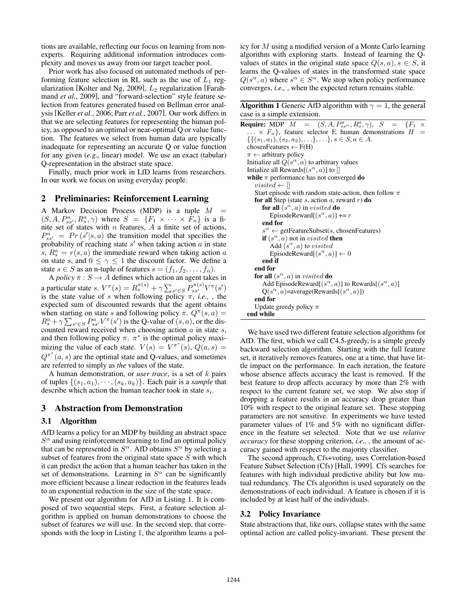tions are available, reflecting our focus on learning from nonexperts. Requiring additional information introduces complexity and moves us away from our target teacher pool.

Prior work has also focused on automated methods of performing feature selection in RL such as the use of  $L_1$  regularization [Kolter and Ng, 2009],  $L_2$  regularization [Farahmand *et al.*, 2009], and "forward-selection" style feature selection from features generated based on Bellman error analysis [Keller *et al.*, 2006; Parr *et al.*, 2007]. Our work differs in that we are selecting features for representing the human policy, as opposed to an optimal or near-optimal Q or value function. The features we select from human data are typically inadequate for representing an accurate Q or value function for any given (*e.g.,* linear) model. We use an exact (tabular) Q-representation in the abstract state space.

Finally, much prior work in LfD learns from researchers. In our work we focus on using everyday people.

## 2 Preliminaries: Reinforcement Learning

A Markov Decision Process (MDP) is a tuple  $M =$  $(S, A, P_{ss'}^a, R_s^a, \gamma)$  where  $S = \{F_1 \times \cdots \times F_n\}$  is a finite set of states with  $n$  features,  $A$  a finite set of actions,  $P_{ss'}^a = Pr(s'|s, a)$  the transition model that specifies the probability of reaching state  $s'$  when taking action  $a$  in state  $s, R_s^a = r(s, a)$  the immediate reward when taking action a on state s, and  $0 \leq \gamma \leq 1$  the discount factor. We define a state  $s \in S$  as an n-tuple of features  $s = (f_1, f_2, \ldots, f_n)$ .

A *policy*  $\pi : S \to A$  defines which action an agent takes in a particular state  $s$ .  $V^{\pi}(s) = R_s^{\pi(s)} + \gamma \sum_{s' \in S} P_{ss'}^{\pi(s)} V^{\pi}(s')$ is the state value of s when following policy  $\pi$ , *i.e.*, , the expected sum of discounted rewards that the agent obtains when starting on state s and following policy  $\pi$ .  $Q^{\pi}(s, a) =$  $R_s^a + \gamma \sum_{s' \in S} P_{ss'}^a V^{\pi}(s')$  is the Q-value of  $(s, a)$ , or the discounted reward received when choosing action  $a$  in state  $s$ , and then following policy  $\pi$ .  $\pi^*$  is the optimal policy maximizing the value of each state.  $V(s) = V^{\pi^*}(s)$ ,  $Q(a, s) =$  $Q^{\pi^*}(a, s)$  are the optimal state and Q-values, and sometimes are referred to simply as *the* values of the state.

A human demonstration, or *user trace*, is a set of k pairs of tuples  $\{(s_1, a_1), \cdots, (s_k, a_k)\}\$ . Each pair is a *sample* that describe which action the human teacher took in state  $s_i$ .

#### 3 Abstraction from Demonstration

#### 3.1 Algorithm

AfD learns a policy for an MDP by building an abstract space  $S^{\alpha}$  and using reinforcement learning to find an optimal policy that can be represented in  $S^{\alpha}$ . AfD obtains  $S^{\alpha}$  by selecting a subset of features from the original state space  $S$  with which it can predict the action that a human teacher has taken in the set of demonstrations. Learning in  $S^{\alpha}$  can be significantly more efficient because a linear reduction in the features leads to an exponential reduction in the size of the state space.

We present our algorithm for AfD in Listing 1. It is composed of two sequential steps. First, a feature selection algorithm is applied on human demonstrations to choose the subset of features we will use. In the second step, that corresponds with the loop in Listing 1, the algorithm learns a policy for M using a modified version of a Monte Carlo learning algorithm with exploring starts. Instead of learning the Qvalues of states in the original state space  $Q(s, a), s \in S$ , it learns the Q-values of states in the transformed state space  $Q(s^{\alpha}, a)$  where  $s^{\alpha} \in S^{\alpha}$ . We stop when policy performance converges, *i.e.,* , when the expected return remains stable.

**Algorithm 1** Generic AfD algorithm with  $\gamma = 1$ , the general case is a simple extension.

| <b>Require:</b> MDP $M = (S, A, P_{ss}^a, R_s^a, \gamma), S = \{F_1 \times$ |  |
|-----------------------------------------------------------------------------|--|
| $\ldots \times F_n$ , feature selector F, human demonstrations $H =$        |  |
| $\{\{(s_1, a_1), (s_2, a_2), \ldots\}, \ldots\}, s \in S, a \in A.$         |  |
| chosenFeatures $\leftarrow$ F(H)                                            |  |
| $\pi \leftarrow$ arbitrary policy                                           |  |
| Initialize all $Q(s^{\alpha}, a)$ to arbitrary values                       |  |
| Intialize all Rewards $[(s^{\alpha}, a)]$ to $[$                            |  |
| while $\pi$ performance has not converged do                                |  |
| visited $\leftarrow$                                                        |  |
| Start episode with random state-action, then follow $\pi$                   |  |
| for all Step (state $s$ , action $a$ , reward $r$ ) do                      |  |
| <b>for all</b> $(s^{\alpha}, a)$ in <i>visited</i> <b>do</b>                |  |
| EpisodeReward $[(s^{\alpha}, a)] \neq r$                                    |  |
| end for                                                                     |  |
| $s^{\alpha} \leftarrow$ getFeatureSubset(s, chosenFeatures)                 |  |
| <b>if</b> $(s^{\alpha}, a)$ not in <i>visited</i> then                      |  |
| Add $(s^{\alpha}, a)$ to visited                                            |  |
| EpisodeReward $[(s^{\alpha}, a)] \leftarrow 0$                              |  |
| end if                                                                      |  |
| end for                                                                     |  |
| for all $(s^{\alpha}, a)$ in <i>visited</i> do                              |  |
| Add EpisodeReward $[(s^{\alpha}, a)]$ to Rewards $[(s^{\alpha}, a)]$        |  |
| $Q(s^{\alpha}, a)$ =average(Rewards[ $(s^{\alpha}, a)$ ])                   |  |
| end for                                                                     |  |
| Update greedy policy $\pi$                                                  |  |
| end while                                                                   |  |

We have used two different feature selection algorithms for AfD. The first, which we call C4.5-greedy, is a simple greedy backward selection algorithm. Starting with the full feature set, it iteratively removes features, one at a time, that have little impact on the performance. In each iteration, the feature whose absence affects accuracy the least is removed. If the best feature to drop affects accuracy by more than 2% with respect to the current feature set, we stop. We also stop if dropping a feature results in an accuracy drop greater than 10% with respect to the original feature set. These stopping parameters are not sensitive. In experiments we have tested parameter values of 1% and 5% with no significant difference in the feature set selected. Note that we use *relative accuracy* for these stopping criterion, *i.e.,* , the amount of accuracy gained with respect to the majority classifier.

The second approach, Cfs+voting, uses Correlation-based Feature Subset Selection (Cfs) [Hall, 1999]. Cfs searches for features with high individual predictive ability but low mutual redundancy. The Cfs algorithm is used separately on the demonstrations of each individual. A feature is chosen if it is included by at least half of the individuals.

#### 3.2 Policy Invariance

State abstractions that, like ours, collapse states with the same optimal action are called policy-invariant. These present the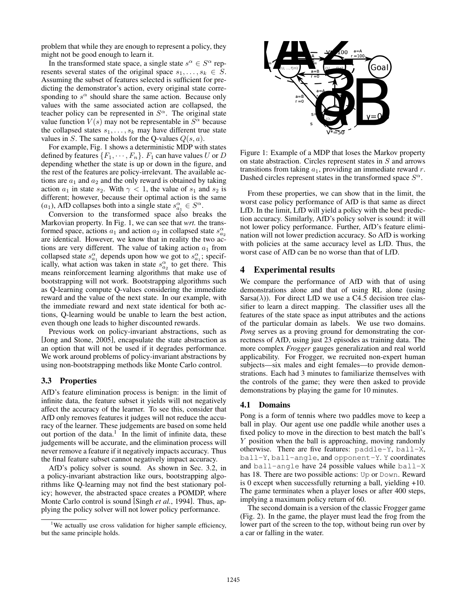problem that while they are enough to represent a policy, they might not be good enough to learn it.

In the transformed state space, a single state  $s^{\alpha} \in S^{\alpha}$  represents several states of the original space  $s_1, \ldots, s_k \in S$ . Assuming the subset of features selected is sufficient for predicting the demonstrator's action, every original state corresponding to  $s^{\alpha}$  should share the same action. Because only values with the same associated action are collapsed, the teacher policy can be represented in  $S^{\alpha}$ . The original state value function  $V(s)$  may not be representable in  $S^{\alpha}$  because the collapsed states  $s_1, \ldots, s_k$  may have different true state values in S. The same holds for the Q-values  $Q(s, a)$ .

For example, Fig. 1 shows a deterministic MDP with states defined by features  $\{F_1, \dots, F_n\}$ .  $F_1$  can have values U or D depending whether the state is up or down in the figure, and the rest of the features are policy-irrelevant. The available actions are  $a_1$  and  $a_2$  and the only reward is obtained by taking action  $a_1$  in state  $s_2$ . With  $\gamma < 1$ , the value of  $s_1$  and  $s_2$  is different; however, because their optimal action is the same (a<sub>1</sub>), AfD collapses both into a single state  $s_{a_1}^{\alpha} \in S^{\alpha}$ .

Conversion to the transformed space also breaks the Markovian property. In Fig. 1, we can see that *wrt.* the transformed space, actions  $a_1$  and action  $a_2$  in collapsed state  $s_{a_2}^{\alpha}$ are identical. However, we know that in reality the two actions are very different. The value of taking action  $a_1$  from collapsed state  $s_{a_1}^{\alpha}$  depends upon how we got to  $s_{a_1}^{\alpha}$ ; specifically, what action was taken in state  $s_{a_2}^{\alpha}$  to get there. This means reinforcement learning algorithms that make use of bootstrapping will not work. Bootstrapping algorithms such as Q-learning compute Q-values considering the immediate reward and the value of the next state. In our example, with the immediate reward and next state identical for both actions, Q-learning would be unable to learn the best action, even though one leads to higher discounted rewards.

Previous work on policy-invariant abstractions, such as [Jong and Stone, 2005], encapsulate the state abstraction as an option that will not be used if it degrades performance. We work around problems of policy-invariant abstractions by using non-bootstrapping methods like Monte Carlo control.

#### 3.3 Properties

AfD's feature elimination process is benign: in the limit of infinite data, the feature subset it yields will not negatively affect the accuracy of the learner. To see this, consider that AfD only removes features it judges will not reduce the accuracy of the learner. These judgements are based on some held out portion of the data.<sup>1</sup> In the limit of infinite data, these judgements will be accurate, and the elimination process will never remove a feature if it negatively impacts accuracy. Thus the final feature subset cannot negatively impact accuracy.

AfD's policy solver is sound. As shown in Sec. 3.2, in a policy-invariant abstraction like ours, bootstrapping algorithms like Q-learning may not find the best stationary policy; however, the abstracted space creates a POMDP, where Monte Carlo control is sound [Singh *et al.*, 1994]. Thus, applying the policy solver will not lower policy performance.



Figure 1: Example of a MDP that loses the Markov property on state abstraction. Circles represent states in S and arrows transitions from taking  $a_1$ , providing an immediate reward  $r$ . Dashed circles represent states in the transformed space  $S^{\alpha}$ .

From these properties, we can show that in the limit, the worst case policy performance of AfD is that same as direct LfD. In the limit, LfD will yield a policy with the best prediction accuracy. Similarly, AfD's policy solver is sound: it will not lower policy performance. Further, AfD's feature elimination will not lower prediction accuracy. So AfD is working with policies at the same accuracy level as LfD. Thus, the worst case of AfD can be no worse than that of LfD.

## 4 Experimental results

We compare the performance of AfD with that of using demonstrations alone and that of using RL alone (using Sarsa( $\lambda$ )). For direct LfD we use a C4.5 decision tree classifier to learn a direct mapping. The classifier uses all the features of the state space as input attributes and the actions of the particular domain as labels. We use two domains. *Pong* serves as a proving ground for demonstrating the correctness of AfD, using just 23 episodes as training data. The more complex *Frogger* gauges generalization and real world applicability. For Frogger, we recruited non-expert human subjects—six males and eight females—to provide demonstrations. Each had 3 minutes to familiarize themselves with the controls of the game; they were then asked to provide demonstrations by playing the game for 10 minutes.

#### 4.1 Domains

Pong is a form of tennis where two paddles move to keep a ball in play. Our agent use one paddle while another uses a fixed policy to move in the direction to best match the ball's Y position when the ball is approaching, moving randomly otherwise. There are five features: paddle-Y, ball-X, ball-Y, ball-angle, and opponent-Y. Y coordinates and ball-angle have 24 possible values while ball-X has 18. There are two possible actions: Up or Down. Reward is 0 except when successfully returning a ball, yielding +10. The game terminates when a player loses or after 400 steps, implying a maximum policy return of 60.

The second domain is a version of the classic Frogger game (Fig. 2). In the game, the player must lead the frog from the lower part of the screen to the top, without being run over by a car or falling in the water.

<sup>&</sup>lt;sup>1</sup>We actually use cross validation for higher sample efficiency, but the same principle holds.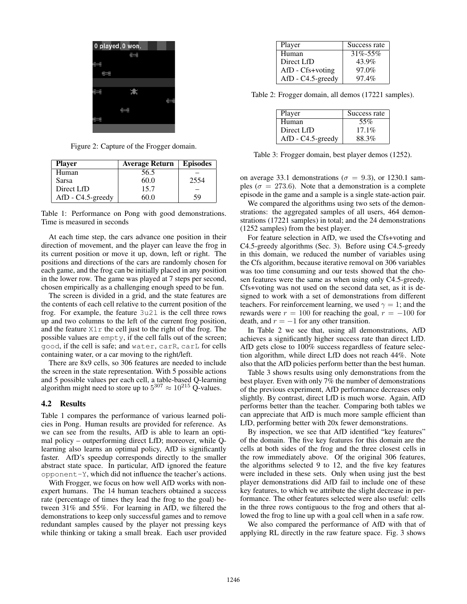

Figure 2: Capture of the Frogger domain.

| <b>Player</b>     | Average Return | <b>Episodes</b> |
|-------------------|----------------|-----------------|
| Human             | 56.5           |                 |
| Sarsa             | 60.0           | 2554            |
| Direct LfD        | 15.7           |                 |
| AfD - C4.5-greedy | ብ በ            | 59              |

Table 1: Performance on Pong with good demonstrations. Time is measured in seconds

At each time step, the cars advance one position in their direction of movement, and the player can leave the frog in its current position or move it up, down, left or right. The positions and directions of the cars are randomly chosen for each game, and the frog can be initially placed in any position in the lower row. The game was played at 7 steps per second, chosen empirically as a challenging enough speed to be fun.

The screen is divided in a grid, and the state features are the contents of each cell relative to the current position of the frog. For example, the feature 3u2l is the cell three rows up and two columns to the left of the current frog position, and the feature  $X1r$  the cell just to the right of the frog. The possible values are empty, if the cell falls out of the screen; good, if the cell is safe; and water, carR, carL for cells containing water, or a car moving to the right/left.

There are 8x9 cells, so 306 features are needed to include the screen in the state representation. With 5 possible actions and 5 possible values per each cell, a table-based Q-learning algorithm might need to store up to  $5^{307} \approx 10^{215}$  Q-values.

#### 4.2 Results

Table 1 compares the performance of various learned policies in Pong. Human results are provided for reference. As we can see from the results, AfD is able to learn an optimal policy – outperforming direct LfD; moreover, while Qlearning also learns an optimal policy, AfD is significantly faster. AfD's speedup corresponds directly to the smaller abstract state space. In particular, AfD ignored the feature opponent-Y, which did not influence the teacher's actions.

With Frogger, we focus on how well AfD works with nonexpert humans. The 14 human teachers obtained a success rate (percentage of times they lead the frog to the goal) between 31% and 55%. For learning in AfD, we filtered the demonstrations to keep only successful games and to remove redundant samples caused by the player not pressing keys while thinking or taking a small break. Each user provided

| Player               | Success rate  |
|----------------------|---------------|
| Human                | $31\% - 55\%$ |
| Direct LfD           | 43.9%         |
| $AfD - Cfs + voting$ | 97.0%         |
| AfD - C4.5-greedy    | 97.4%         |

Table 2: Frogger domain, all demos (17221 samples).

| Player               | Success rate |
|----------------------|--------------|
| Human                | 55%          |
| Direct LfD           | $17.1\%$     |
| $AfD - C4.5$ -greedy | 88.3%        |

Table 3: Frogger domain, best player demos (1252).

on average 33.1 demonstrations ( $\sigma = 9.3$ ), or 1230.1 samples ( $\sigma = 273.6$ ). Note that a demonstration is a complete episode in the game and a sample is a single state-action pair.

We compared the algorithms using two sets of the demonstrations: the aggregated samples of all users, 464 demonstrations (17221 samples) in total; and the 24 demonstrations (1252 samples) from the best player.

For feature selection in AfD, we used the Cfs+voting and C4.5-greedy algorithms (Sec. 3). Before using C4.5-greedy in this domain, we reduced the number of variables using the Cfs algorithm, because iterative removal on 306 variables was too time consuming and our tests showed that the chosen features were the same as when using only C4.5-greedy. Cfs+voting was not used on the second data set, as it is designed to work with a set of demonstrations from different teachers. For reinforcement learning, we used  $\gamma = 1$ ; and the rewards were  $r = 100$  for reaching the goal,  $r = -100$  for death, and  $r = -1$  for any other transition.

In Table 2 we see that, using all demonstrations, AfD achieves a significantly higher success rate than direct LfD. AfD gets close to 100% success regardless of feature selection algorithm, while direct LfD does not reach 44%. Note also that the AfD policies perform better than the best human.

Table 3 shows results using only demonstrations from the best player. Even with only 7% the number of demonstrations of the previous experiment, AfD performance decreases only slightly. By contrast, direct LfD is much worse. Again, AfD performs better than the teacher. Comparing both tables we can appreciate that AfD is much more sample efficient than LfD, performing better with 20x fewer demonstrations.

By inspection, we see that AfD identified "key features" of the domain. The five key features for this domain are the cells at both sides of the frog and the three closest cells in the row immediately above. Of the original 306 features, the algorithms selected 9 to 12, and the five key features were included in these sets. Only when using just the best player demonstrations did AfD fail to include one of these key features, to which we attribute the slight decrease in performance. The other features selected were also useful: cells in the three rows contiguous to the frog and others that allowed the frog to line up with a goal cell when in a safe row.

We also compared the performance of AfD with that of applying RL directly in the raw feature space. Fig. 3 shows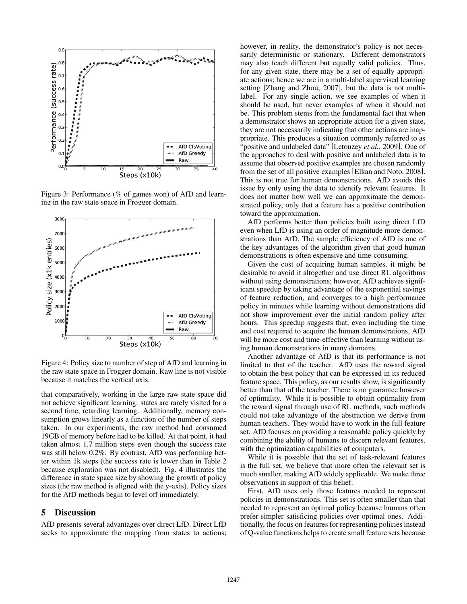

Figure 3: Performance (% of games won) of AfD and learning in the raw state space in Frogger domain.



Figure 4: Policy size to number of step of AfD and learning in the raw state space in Frogger domain. Raw line is not visible because it matches the vertical axis.

that comparatively, working in the large raw state space did not achieve significant learning: states are rarely visited for a second time, retarding learning. Additionally, memory consumption grows linearly as a function of the number of steps taken. In our experiments, the raw method had consumed 19GB of memory before had to be killed. At that point, it had taken almost 1.7 million steps even though the success rate was still below 0.2%. By contrast, AfD was performing better within 1k steps (the success rate is lower than in Table 2 because exploration was not disabled). Fig. 4 illustrates the difference in state space size by showing the growth of policy sizes (the raw method is aligned with the y-axis). Policy sizes for the AfD methods begin to level off immediately.

#### 5 Discussion

AfD presents several advantages over direct LfD. Direct LfD seeks to approximate the mapping from states to actions; however, in reality, the demonstrator's policy is not necessarily deterministic or stationary. Different demonstrators may also teach different but equally valid policies. Thus, for any given state, there may be a set of equally appropriate actions; hence we are in a multi-label supervised learning setting [Zhang and Zhou, 2007], but the data is not multilabel. For any single action, we see examples of when it should be used, but never examples of when it should not be. This problem stems from the fundamental fact that when a demonstrator shows an appropriate action for a given state, they are not necessarily indicating that other actions are inappropriate. This produces a situation commonly referred to as "positive and unlabeled data" [Letouzey *et al.*, 2009]. One of the approaches to deal with positive and unlabeled data is to assume that observed positive examples are chosen randomly from the set of all positive examples [Elkan and Noto, 2008]. This is not true for human demonstrations. AfD avoids this issue by only using the data to identify relevant features. It does not matter how well we can approximate the demonstrated policy, only that a feature has a positive contribution toward the approximation.

AfD performs better than policies built using direct LfD even when LfD is using an order of magnitude more demonstrations than AfD. The sample efficiency of AfD is one of the key advantages of the algorithm given that good human demonstrations is often expensive and time-consuming.

Given the cost of acquiring human samples, it might be desirable to avoid it altogether and use direct RL algorithms without using demonstrations; however, AfD achieves significant speedup by taking advantage of the exponential savings of feature reduction, and converges to a high performance policy in minutes while learning without demonstrations did not show improvement over the initial random policy after hours. This speedup suggests that, even including the time and cost required to acquire the human demonstrations, AfD will be more cost and time-effective than learning without using human demonstrations in many domains.

Another advantage of AfD is that its performance is not limited to that of the teacher. AfD uses the reward signal to obtain the best policy that can be expressed in its reduced feature space. This policy, as our results show, is significantly better than that of the teacher. There is no guarantee however of optimality. While it is possible to obtain optimality from the reward signal through use of RL methods, such methods could not take advantage of the abstraction we derive from human teachers. They would have to work in the full feature set. AfD focuses on providing a reasonable policy quickly by combining the ability of humans to discern relevant features, with the optimization capabilities of computers.

While it is possible that the set of task-relevant features is the full set, we believe that more often the relevant set is much smaller, making AfD widely applicable. We make three observations in support of this belief.

First, AfD uses only those features needed to represent policies in demonstrations. This set is often smaller than that needed to represent an optimal policy because humans often prefer simpler satisficing policies over optimal ones. Additionally, the focus on features for representing policies instead of Q-value functions helps to create small feature sets because